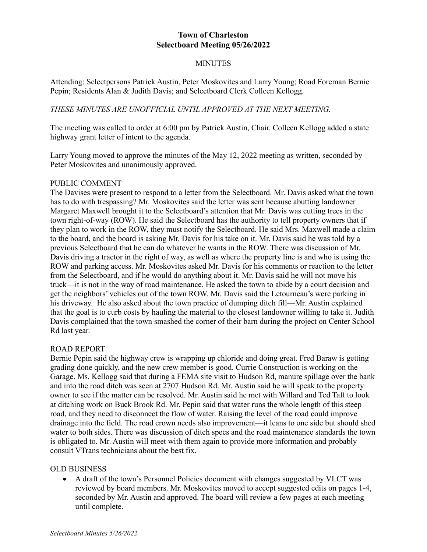# **Town of Charleston Selectboard Meeting 05/26/2022**

## **MINUTES**

Attending: Selectpersons Patrick Austin, Peter Moskovites and Larry Young; Road Foreman Bernie Pepin; Residents Alan & Judith Davis; and Selectboard Clerk Colleen Kellogg.

### *THESE MINUTES ARE UNOFFICIAL UNTIL APPROVED AT THE NEXT MEETING.*

The meeting was called to order at 6:00 pm by Patrick Austin, Chair. Colleen Kellogg added a state highway grant letter of intent to the agenda.

Larry Young moved to approve the minutes of the May 12, 2022 meeting as written, seconded by Peter Moskovites and unanimously approved.

#### PUBLIC COMMENT

The Davises were present to respond to a letter from the Selectboard. Mr. Davis asked what the town has to do with trespassing? Mr. Moskovites said the letter was sent because abutting landowner Margaret Maxwell brought it to the Selectboard's attention that Mr. Davis was cutting trees in the town right-of-way (ROW). He said the Selectboard has the authority to tell property owners that if they plan to work in the ROW, they must notify the Selectboard. He said Mrs. Maxwell made a claim to the board, and the board is asking Mr. Davis for his take on it. Mr. Davis said he was told by a previous Selectboard that he can do whatever he wants in the ROW. There was discussion of Mr. Davis driving a tractor in the right of way, as well as where the property line is and who is using the ROW and parking access. Mr. Moskovites asked Mr. Davis for his comments or reaction to the letter from the Selectboard, and if he would do anything about it. Mr. Davis said he will not move his truck—it is not in the way of road maintenance. He asked the town to abide by a court decision and get the neighbors' vehicles out of the town ROW. Mr. Davis said the Letourneau's were parking in his driveway. He also asked about the town practice of dumping ditch fill—Mr. Austin explained that the goal is to curb costs by hauling the material to the closest landowner willing to take it. Judith Davis complained that the town smashed the corner of their barn during the project on Center School Rd last year.

#### ROAD REPORT

Bernie Pepin said the highway crew is wrapping up chloride and doing great. Fred Baraw is getting grading done quickly, and the new crew member is good. Currie Construction is working on the Garage. Ms. Kellogg said that during a FEMA site visit to Hudson Rd, manure spillage over the bank and into the road ditch was seen at 2707 Hudson Rd. Mr. Austin said he will speak to the property owner to see if the matter can be resolved. Mr. Austin said he met with Willard and Ted Taft to look at ditching work on Buck Brook Rd. Mr. Pepin said that water runs the whole length of this steep road, and they need to disconnect the flow of water. Raising the level of the road could improve drainage into the field. The road crown needs also improvement—it leans to one side but should shed water to both sides. There was discussion of ditch specs and the road maintenance standards the town is obligated to. Mr. Austin will meet with them again to provide more information and probably consult VTrans technicians about the best fix.

#### OLD BUSINESS

• A draft of the town's Personnel Policies document with changes suggested by VLCT was reviewed by board members. Mr. Moskovites moved to accept suggested edits on pages 1-4, seconded by Mr. Austin and approved. The board will review a few pages at each meeting until complete.